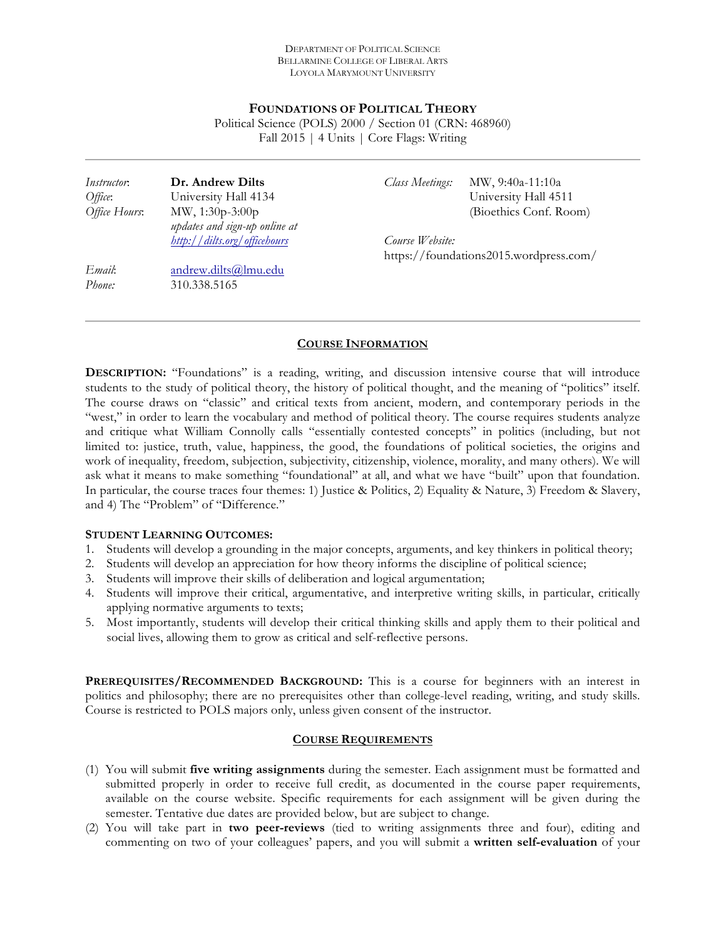#### DEPARTMENT OF POLITICAL SCIENCE BELLARMINE COLLEGE OF LIBERAL ARTS LOYOLA MARYMOUNT UNIVERSITY

## **FOUNDATIONS OF POLITICAL THEORY** Political Science (POLS) 2000 / Section 01 (CRN: 468960) Fall 2015 | 4 Units | Core Flags: Writing

| <i>Instructor</i> . | Dr. Andrew Dilts              | Class Meetings: | MW, 9:40a-11:10a                       |
|---------------------|-------------------------------|-----------------|----------------------------------------|
| Office:             | University Hall 4134          |                 | University Hall 4511                   |
| Office Hours:       | MW, 1:30p-3:00p               |                 | (Bioethics Conf. Room)                 |
|                     | updates and sign-up online at |                 |                                        |
|                     | http://dilts.org/officehours  | Course Website: |                                        |
|                     |                               |                 | https://foundations2015.wordpress.com/ |
| Email:              | andrew.dilts@lmu.edu          |                 |                                        |
| Phone:              | 310.338.5165                  |                 |                                        |

## **COURSE INFORMATION**

**DESCRIPTION:** "Foundations" is a reading, writing, and discussion intensive course that will introduce students to the study of political theory, the history of political thought, and the meaning of "politics" itself. The course draws on "classic" and critical texts from ancient, modern, and contemporary periods in the "west," in order to learn the vocabulary and method of political theory. The course requires students analyze and critique what William Connolly calls "essentially contested concepts" in politics (including, but not limited to: justice, truth, value, happiness, the good, the foundations of political societies, the origins and work of inequality, freedom, subjection, subjectivity, citizenship, violence, morality, and many others). We will ask what it means to make something "foundational" at all, and what we have "built" upon that foundation. In particular, the course traces four themes: 1) Justice & Politics, 2) Equality & Nature, 3) Freedom & Slavery, and 4) The "Problem" of "Difference."

#### **STUDENT LEARNING OUTCOMES:**

- 1. Students will develop a grounding in the major concepts, arguments, and key thinkers in political theory;
- 2. Students will develop an appreciation for how theory informs the discipline of political science;
- 3. Students will improve their skills of deliberation and logical argumentation;
- 4. Students will improve their critical, argumentative, and interpretive writing skills, in particular, critically applying normative arguments to texts;
- 5. Most importantly, students will develop their critical thinking skills and apply them to their political and social lives, allowing them to grow as critical and self-reflective persons.

**PREREQUISITES/RECOMMENDED BACKGROUND:** This is a course for beginners with an interest in politics and philosophy; there are no prerequisites other than college-level reading, writing, and study skills. Course is restricted to POLS majors only, unless given consent of the instructor.

#### **COURSE REQUIREMENTS**

- (1) You will submit **five writing assignments** during the semester. Each assignment must be formatted and submitted properly in order to receive full credit, as documented in the course paper requirements, available on the course website. Specific requirements for each assignment will be given during the semester. Tentative due dates are provided below, but are subject to change.
- (2) You will take part in **two peer-reviews** (tied to writing assignments three and four), editing and commenting on two of your colleagues' papers, and you will submit a **written self-evaluation** of your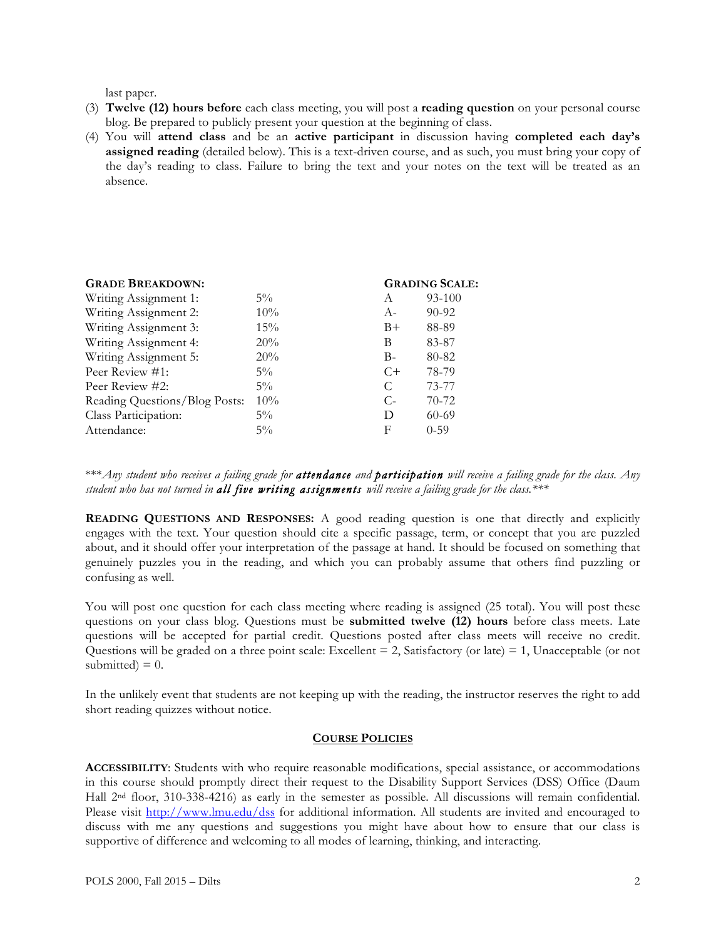last paper.

- (3) **Twelve (12) hours before** each class meeting, you will post a **reading question** on your personal course blog. Be prepared to publicly present your question at the beginning of class.
- (4) You will **attend class** and be an **active participant** in discussion having **completed each day's assigned reading** (detailed below). This is a text-driven course, and as such, you must bring your copy of the day's reading to class. Failure to bring the text and your notes on the text will be treated as an absence.

| <b>GRADE BREAKDOWN:</b>       |        |            | <b>GRADING SCALE:</b> |
|-------------------------------|--------|------------|-----------------------|
| Writing Assignment 1:         | $5\%$  | A          | $93 - 100$            |
| Writing Assignment 2:         | $10\%$ | $A -$      | $90 - 92$             |
| Writing Assignment 3:         | 15%    | $B+$       | 88-89                 |
| Writing Assignment 4:         | 20%    | В          | 83-87                 |
| Writing Assignment 5:         | 20%    | $B -$      | 80-82                 |
| Peer Review #1:               | $5\%$  | $C+$       | 78-79                 |
| Peer Review #2:               | $5\%$  | C          | 73-77                 |
| Reading Questions/Blog Posts: | $10\%$ | $C_{\tau}$ | $70-72$               |
| Class Participation:          | $5\%$  | D          | $60 - 69$             |
| Attendance:                   | $5\%$  | F          | $0 - 59$              |

\*\*\**Any student who receives a failing grade for attendance and participation will receive a failing grade for the class*. *Any student who has not turned in all five writing assignments will receive a failing grade for the class.\*\*\**

**READING QUESTIONS AND RESPONSES:** A good reading question is one that directly and explicitly engages with the text. Your question should cite a specific passage, term, or concept that you are puzzled about, and it should offer your interpretation of the passage at hand. It should be focused on something that genuinely puzzles you in the reading, and which you can probably assume that others find puzzling or confusing as well.

You will post one question for each class meeting where reading is assigned (25 total). You will post these questions on your class blog. Questions must be **submitted twelve (12) hours** before class meets. Late questions will be accepted for partial credit. Questions posted after class meets will receive no credit. Questions will be graded on a three point scale: Excellent  $= 2$ , Satisfactory (or late)  $= 1$ , Unacceptable (or not submitted)  $= 0$ .

In the unlikely event that students are not keeping up with the reading, the instructor reserves the right to add short reading quizzes without notice.

#### **COURSE POLICIES**

**ACCESSIBILITY**: Students with who require reasonable modifications, special assistance, or accommodations in this course should promptly direct their request to the Disability Support Services (DSS) Office (Daum Hall 2nd floor, 310-338-4216) as early in the semester as possible. All discussions will remain confidential. Please visit http://www.lmu.edu/dss for additional information. All students are invited and encouraged to discuss with me any questions and suggestions you might have about how to ensure that our class is supportive of difference and welcoming to all modes of learning, thinking, and interacting.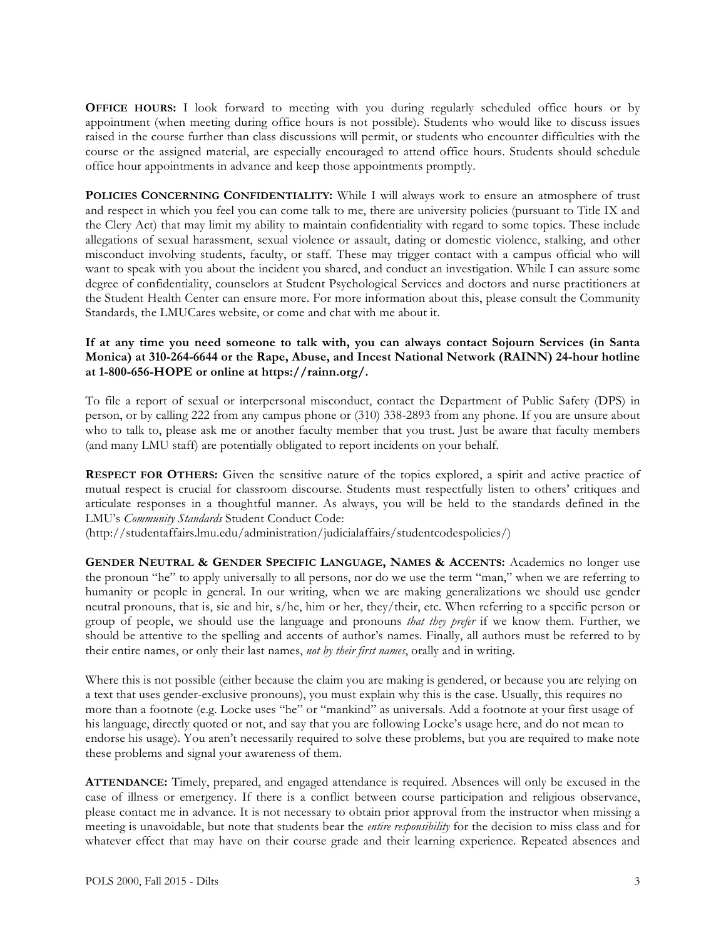**OFFICE HOURS:** I look forward to meeting with you during regularly scheduled office hours or by appointment (when meeting during office hours is not possible). Students who would like to discuss issues raised in the course further than class discussions will permit, or students who encounter difficulties with the course or the assigned material, are especially encouraged to attend office hours. Students should schedule office hour appointments in advance and keep those appointments promptly.

**POLICIES CONCERNING CONFIDENTIALITY:** While I will always work to ensure an atmosphere of trust and respect in which you feel you can come talk to me, there are university policies (pursuant to Title IX and the Clery Act) that may limit my ability to maintain confidentiality with regard to some topics. These include allegations of sexual harassment, sexual violence or assault, dating or domestic violence, stalking, and other misconduct involving students, faculty, or staff. These may trigger contact with a campus official who will want to speak with you about the incident you shared, and conduct an investigation. While I can assure some degree of confidentiality, counselors at Student Psychological Services and doctors and nurse practitioners at the Student Health Center can ensure more. For more information about this, please consult the Community Standards, the LMUCares website, or come and chat with me about it.

## **If at any time you need someone to talk with, you can always contact Sojourn Services (in Santa Monica) at 310-264-6644 or the Rape, Abuse, and Incest National Network (RAINN) 24-hour hotline at 1-800-656-HOPE or online at https://rainn.org/.**

To file a report of sexual or interpersonal misconduct, contact the Department of Public Safety (DPS) in person, or by calling 222 from any campus phone or (310) 338-2893 from any phone. If you are unsure about who to talk to, please ask me or another faculty member that you trust. Just be aware that faculty members (and many LMU staff) are potentially obligated to report incidents on your behalf.

**RESPECT FOR OTHERS:** Given the sensitive nature of the topics explored, a spirit and active practice of mutual respect is crucial for classroom discourse. Students must respectfully listen to others' critiques and articulate responses in a thoughtful manner. As always, you will be held to the standards defined in the LMU's *Community Standards* Student Conduct Code:

(http://studentaffairs.lmu.edu/administration/judicialaffairs/studentcodespolicies/)

**GENDER NEUTRAL & GENDER SPECIFIC LANGUAGE, NAMES & ACCENTS:** Academics no longer use the pronoun "he" to apply universally to all persons, nor do we use the term "man," when we are referring to humanity or people in general. In our writing, when we are making generalizations we should use gender neutral pronouns, that is, sie and hir, s/he, him or her, they/their, etc. When referring to a specific person or group of people, we should use the language and pronouns *that they prefer* if we know them. Further, we should be attentive to the spelling and accents of author's names. Finally, all authors must be referred to by their entire names, or only their last names, *not by their first names*, orally and in writing.

Where this is not possible (either because the claim you are making is gendered, or because you are relying on a text that uses gender-exclusive pronouns), you must explain why this is the case. Usually, this requires no more than a footnote (e.g. Locke uses "he" or "mankind" as universals. Add a footnote at your first usage of his language, directly quoted or not, and say that you are following Locke's usage here, and do not mean to endorse his usage). You aren't necessarily required to solve these problems, but you are required to make note these problems and signal your awareness of them.

**ATTENDANCE:** Timely, prepared, and engaged attendance is required. Absences will only be excused in the case of illness or emergency. If there is a conflict between course participation and religious observance, please contact me in advance. It is not necessary to obtain prior approval from the instructor when missing a meeting is unavoidable, but note that students bear the *entire responsibility* for the decision to miss class and for whatever effect that may have on their course grade and their learning experience. Repeated absences and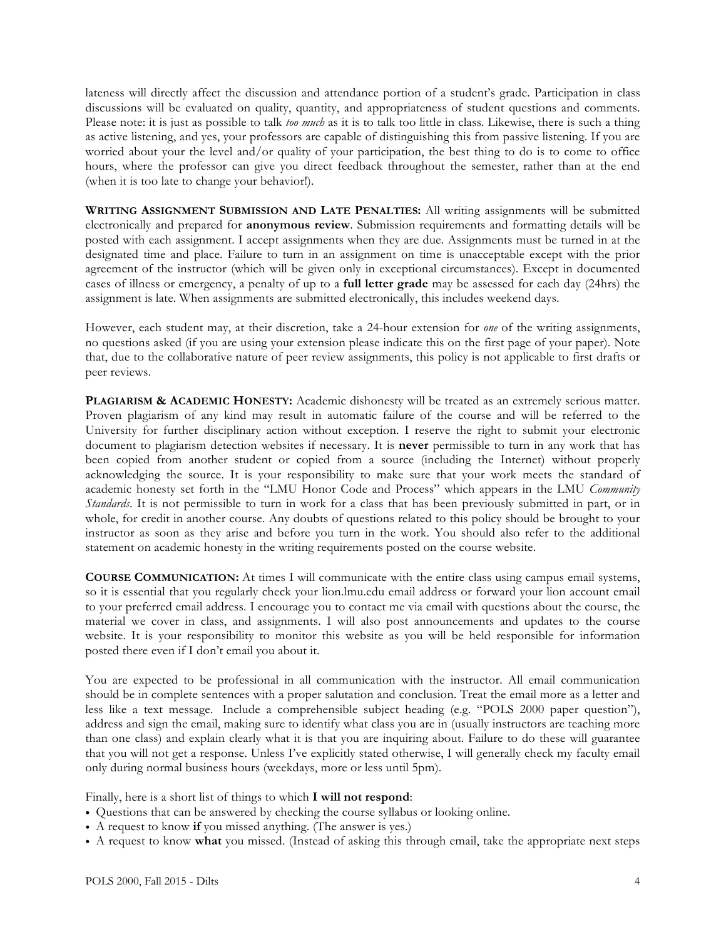lateness will directly affect the discussion and attendance portion of a student's grade. Participation in class discussions will be evaluated on quality, quantity, and appropriateness of student questions and comments. Please note: it is just as possible to talk *too much* as it is to talk too little in class. Likewise, there is such a thing as active listening, and yes, your professors are capable of distinguishing this from passive listening. If you are worried about your the level and/or quality of your participation, the best thing to do is to come to office hours, where the professor can give you direct feedback throughout the semester, rather than at the end (when it is too late to change your behavior!).

**WRITING ASSIGNMENT SUBMISSION AND LATE PENALTIES:** All writing assignments will be submitted electronically and prepared for **anonymous review**. Submission requirements and formatting details will be posted with each assignment. I accept assignments when they are due. Assignments must be turned in at the designated time and place. Failure to turn in an assignment on time is unacceptable except with the prior agreement of the instructor (which will be given only in exceptional circumstances). Except in documented cases of illness or emergency, a penalty of up to a **full letter grade** may be assessed for each day (24hrs) the assignment is late. When assignments are submitted electronically, this includes weekend days.

However, each student may, at their discretion, take a 24-hour extension for *one* of the writing assignments, no questions asked (if you are using your extension please indicate this on the first page of your paper). Note that, due to the collaborative nature of peer review assignments, this policy is not applicable to first drafts or peer reviews.

**PLAGIARISM & ACADEMIC HONESTY:** Academic dishonesty will be treated as an extremely serious matter. Proven plagiarism of any kind may result in automatic failure of the course and will be referred to the University for further disciplinary action without exception. I reserve the right to submit your electronic document to plagiarism detection websites if necessary. It is **never** permissible to turn in any work that has been copied from another student or copied from a source (including the Internet) without properly acknowledging the source. It is your responsibility to make sure that your work meets the standard of academic honesty set forth in the "LMU Honor Code and Process" which appears in the LMU *Community Standards*. It is not permissible to turn in work for a class that has been previously submitted in part, or in whole, for credit in another course. Any doubts of questions related to this policy should be brought to your instructor as soon as they arise and before you turn in the work. You should also refer to the additional statement on academic honesty in the writing requirements posted on the course website.

**COURSE COMMUNICATION:** At times I will communicate with the entire class using campus email systems, so it is essential that you regularly check your lion.lmu.edu email address or forward your lion account email to your preferred email address. I encourage you to contact me via email with questions about the course, the material we cover in class, and assignments. I will also post announcements and updates to the course website. It is your responsibility to monitor this website as you will be held responsible for information posted there even if I don't email you about it.

You are expected to be professional in all communication with the instructor. All email communication should be in complete sentences with a proper salutation and conclusion. Treat the email more as a letter and less like a text message. Include a comprehensible subject heading (e.g. "POLS 2000 paper question"), address and sign the email, making sure to identify what class you are in (usually instructors are teaching more than one class) and explain clearly what it is that you are inquiring about. Failure to do these will guarantee that you will not get a response. Unless I've explicitly stated otherwise, I will generally check my faculty email only during normal business hours (weekdays, more or less until 5pm).

Finally, here is a short list of things to which **I will not respond**:

- Questions that can be answered by checking the course syllabus or looking online.
- A request to know **if** you missed anything. (The answer is yes.)
- A request to know **what** you missed. (Instead of asking this through email, take the appropriate next steps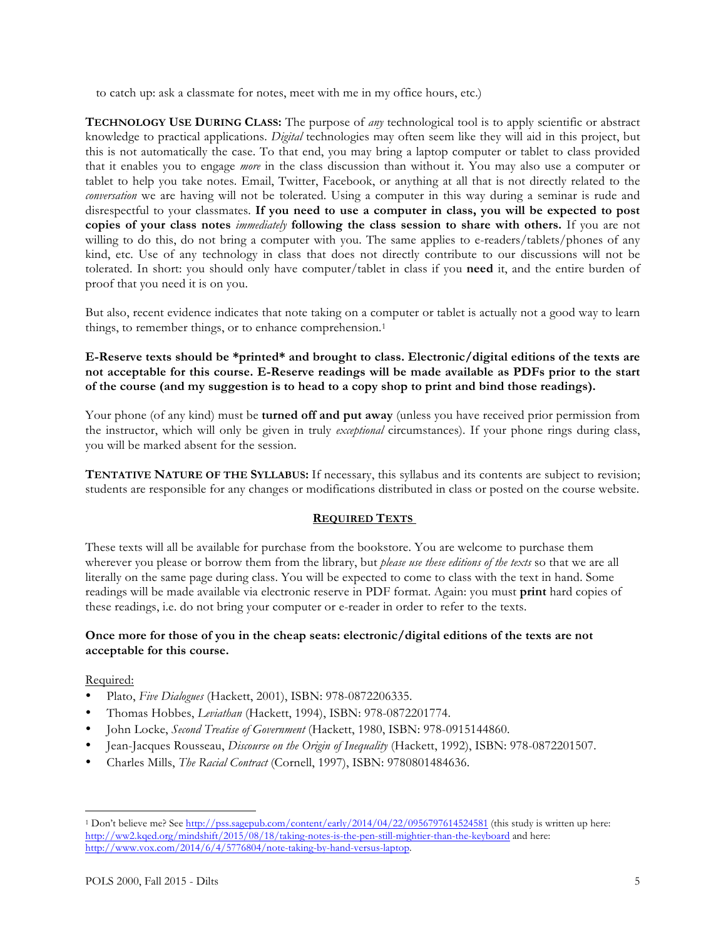to catch up: ask a classmate for notes, meet with me in my office hours, etc.)

**TECHNOLOGY USE DURING CLASS:** The purpose of *any* technological tool is to apply scientific or abstract knowledge to practical applications. *Digital* technologies may often seem like they will aid in this project, but this is not automatically the case. To that end, you may bring a laptop computer or tablet to class provided that it enables you to engage *more* in the class discussion than without it. You may also use a computer or tablet to help you take notes. Email, Twitter, Facebook, or anything at all that is not directly related to the *conversation* we are having will not be tolerated. Using a computer in this way during a seminar is rude and disrespectful to your classmates. **If you need to use a computer in class, you will be expected to post copies of your class notes** *immediately* **following the class session to share with others.** If you are not willing to do this, do not bring a computer with you. The same applies to e-readers/tablets/phones of any kind, etc. Use of any technology in class that does not directly contribute to our discussions will not be tolerated. In short: you should only have computer/tablet in class if you **need** it, and the entire burden of proof that you need it is on you.

But also, recent evidence indicates that note taking on a computer or tablet is actually not a good way to learn things, to remember things, or to enhance comprehension.<sup>1</sup>

## **E-Reserve texts should be \*printed\* and brought to class. Electronic/digital editions of the texts are not acceptable for this course. E-Reserve readings will be made available as PDFs prior to the start of the course (and my suggestion is to head to a copy shop to print and bind those readings).**

Your phone (of any kind) must be **turned off and put away** (unless you have received prior permission from the instructor, which will only be given in truly *exceptional* circumstances). If your phone rings during class, you will be marked absent for the session.

**TENTATIVE NATURE OF THE SYLLABUS:** If necessary, this syllabus and its contents are subject to revision; students are responsible for any changes or modifications distributed in class or posted on the course website.

## **REQUIRED TEXTS**

These texts will all be available for purchase from the bookstore. You are welcome to purchase them wherever you please or borrow them from the library, but *please use these editions of the texts* so that we are all literally on the same page during class. You will be expected to come to class with the text in hand. Some readings will be made available via electronic reserve in PDF format. Again: you must **print** hard copies of these readings, i.e. do not bring your computer or e-reader in order to refer to the texts.

## **Once more for those of you in the cheap seats: electronic/digital editions of the texts are not acceptable for this course.**

#### Required:

- Plato, *Five Dialogues* (Hackett, 2001), ISBN: 978-0872206335.
- Thomas Hobbes, *Leviathan* (Hackett, 1994), ISBN: 978-0872201774.
- John Locke, *Second Treatise of Government* (Hackett, 1980, ISBN: 978-0915144860.
- Jean-Jacques Rousseau, *Discourse on the Origin of Inequality* (Hackett, 1992), ISBN: 978-0872201507.
- Charles Mills, *The Racial Contract* (Cornell, 1997), ISBN: 9780801484636.

 $\overline{a}$ <sup>1</sup> Don't believe me? See http://pss.sagepub.com/content/early/2014/04/22/0956797614524581 (this study is written up here: http://ww2.kqed.org/mindshift/2015/08/18/taking-notes-is-the-pen-still-mightier-than-the-keyboard and here: http://www.vox.com/2014/6/4/5776804/note-taking-by-hand-versus-laptop.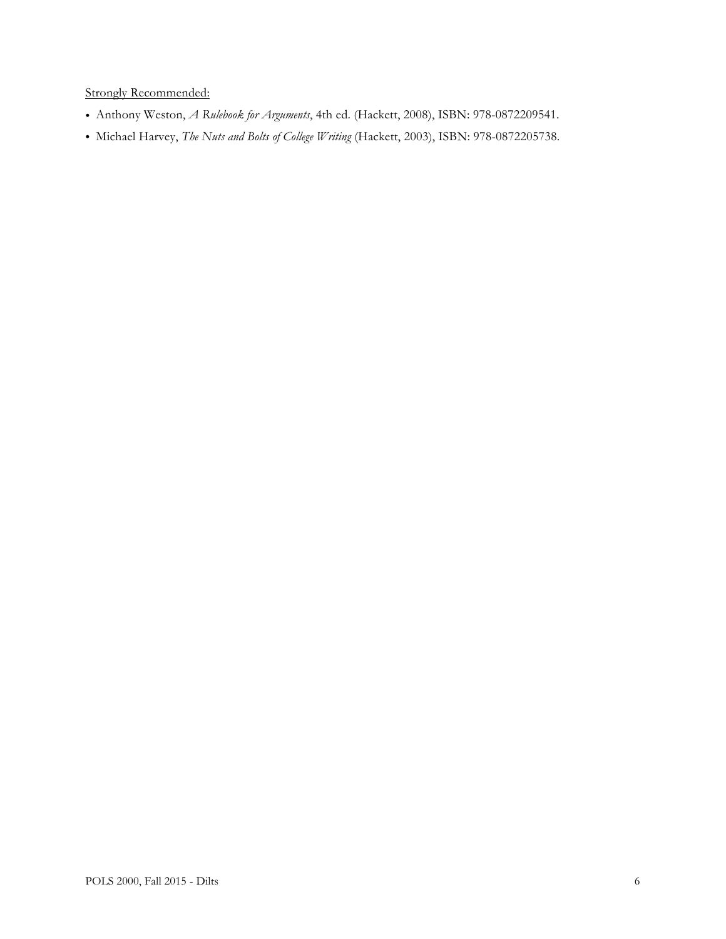Strongly Recommended:

- Anthony Weston, *A Rulebook for Arguments*, 4th ed. (Hackett, 2008), ISBN: 978-0872209541.
- Michael Harvey, *The Nuts and Bolts of College Writing* (Hackett, 2003), ISBN: 978-0872205738.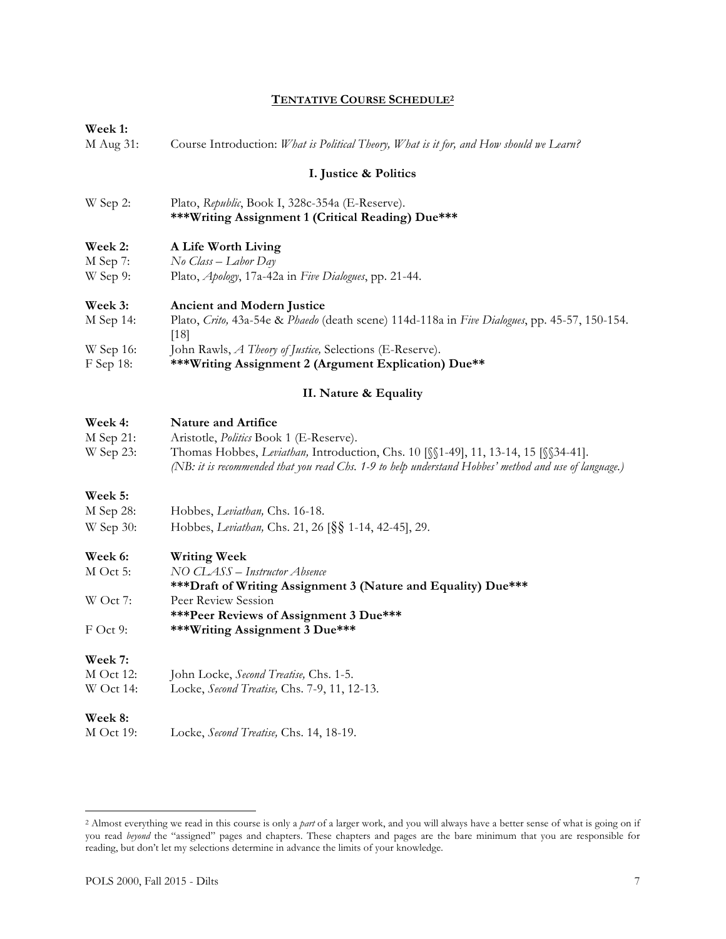## **TENTATIVE COURSE SCHEDULE2**

#### **Week 1:**

| M Aug 31:  | Course Introduction: What is Political Theory, What is it for, and How should we Learn?                                                                                                     |
|------------|---------------------------------------------------------------------------------------------------------------------------------------------------------------------------------------------|
|            | I. Justice & Politics                                                                                                                                                                       |
| W Sep 2:   | Plato, Republic, Book I, 328c-354a (E-Reserve).<br>***Writing Assignment 1 (Critical Reading) Due***                                                                                        |
| Week 2:    | A Life Worth Living                                                                                                                                                                         |
| M Sep 7:   | $No Class-Labor$                                                                                                                                                                            |
| W Sep 9:   | Plato, Apology, 17a-42a in Five Dialogues, pp. 21-44.                                                                                                                                       |
| Week 3:    | <b>Ancient and Modern Justice</b>                                                                                                                                                           |
| M Sep 14:  | Plato, Crito, 43a-54e & Phaedo (death scene) 114d-118a in Five Dialogues, pp. 45-57, 150-154.<br>$\lceil 18 \rceil$                                                                         |
| W Sep 16:  | John Rawls, A Theory of Justice, Selections (E-Reserve).                                                                                                                                    |
| F Sep 18:  | ***Writing Assignment 2 (Argument Explication) Due**                                                                                                                                        |
|            | II. Nature & Equality                                                                                                                                                                       |
| Week 4:    | <b>Nature and Artifice</b>                                                                                                                                                                  |
| M Sep 21:  | Aristotle, <i>Politics</i> Book 1 (E-Reserve).                                                                                                                                              |
| W Sep 23:  | Thomas Hobbes, Leviathan, Introduction, Chs. 10 [§§1-49], 11, 13-14, 15 [§§34-41].<br>(NB: it is recommended that you read Chs. 1-9 to help understand Hobbes' method and use of language.) |
| Week 5:    |                                                                                                                                                                                             |
| M Sep 28:  | Hobbes, Leviathan, Chs. 16-18.                                                                                                                                                              |
| W Sep 30:  | Hobbes, Leviathan, Chs. 21, 26 [§§ 1-14, 42-45], 29.                                                                                                                                        |
| Week 6:    | <b>Writing Week</b>                                                                                                                                                                         |
| M Oct 5:   | NO CLASS - Instructor Absence<br>*** Draft of Writing Assignment 3 (Nature and Equality) Due***                                                                                             |
| $W$ Oct 7: | Peer Review Session                                                                                                                                                                         |
|            | *** Peer Reviews of Assignment 3 Due***                                                                                                                                                     |
| F Oct 9:   | ***Writing Assignment 3 Due***                                                                                                                                                              |
| Week 7:    |                                                                                                                                                                                             |
| M Oct 12:  | John Locke, Second Treatise, Chs. 1-5.                                                                                                                                                      |
| W Oct 14:  | Locke, Second Treatise, Chs. 7-9, 11, 12-13.                                                                                                                                                |
| Week 8:    |                                                                                                                                                                                             |
| M Oct 19:  | Locke, Second Treatise, Chs. 14, 18-19.                                                                                                                                                     |

 $\overline{a}$ 

<sup>2</sup> Almost everything we read in this course is only a *part* of a larger work, and you will always have a better sense of what is going on if you read *beyond* the "assigned" pages and chapters. These chapters and pages are the bare minimum that you are responsible for reading, but don't let my selections determine in advance the limits of your knowledge.